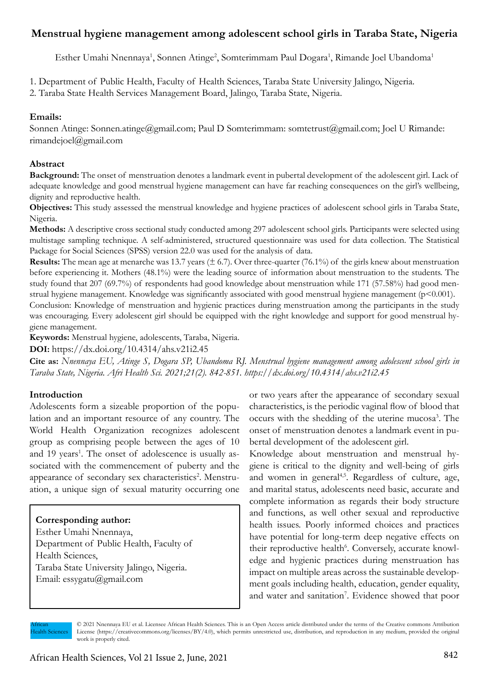# **Menstrual hygiene management among adolescent school girls in Taraba State, Nigeria**

Esther Umahi Nnennaya<sup>1</sup>, Sonnen Atinge<sup>2</sup>, Somterimmam Paul Dogara<sup>1</sup>, Rimande Joel Ubandoma<sup>1</sup>

1. Department of Public Health, Faculty of Health Sciences, Taraba State University Jalingo, Nigeria.

2. Taraba State Health Services Management Board, Jalingo, Taraba State, Nigeria.

# **Emails:**

Sonnen Atinge: Sonnen.atinge@gmail.com; Paul D Somterimmam: somtetrust@gmail.com; Joel U Rimande: rimandejoel@gmail.com

# **Abstract**

**Background:** The onset of menstruation denotes a landmark event in pubertal development of the adolescent girl. Lack of adequate knowledge and good menstrual hygiene management can have far reaching consequences on the girl's wellbeing, dignity and reproductive health.

**Objectives:** This study assessed the menstrual knowledge and hygiene practices of adolescent school girls in Taraba State, Nigeria.

**Methods:** A descriptive cross sectional study conducted among 297 adolescent school girls. Participants were selected using multistage sampling technique. A self-administered, structured questionnaire was used for data collection. The Statistical Package for Social Sciences (SPSS) version 22.0 was used for the analysis of data.

**Results:** The mean age at menarche was 13.7 years  $(\pm 6.7)$ . Over three-quarter (76.1%) of the girls knew about menstruation before experiencing it. Mothers (48.1%) were the leading source of information about menstruation to the students. The study found that 207 (69.7%) of respondents had good knowledge about menstruation while 171 (57.58%) had good menstrual hygiene management. Knowledge was significantly associated with good menstrual hygiene management (p<0.001).

Conclusion: Knowledge of menstruation and hygienic practices during menstruation among the participants in the study was encouraging. Every adolescent girl should be equipped with the right knowledge and support for good menstrual hygiene management.

**Keywords:** Menstrual hygiene, adolescents, Taraba, Nigeria.

**DOI:** https://dx.doi.org/10.4314/ahs.v21i2.45

**Cite as:** *Nnennaya EU, Atinge S, Dogara SP, Ubandoma RJ. Menstrual hygiene management among adolescent school girls in Taraba State, Nigeria. Afri Health Sci. 2021;21(2). 842-851. https://dx.doi.org/10.4314/ahs.v21i2.45*

# **Introduction**

Adolescents form a sizeable proportion of the population and an important resource of any country. The World Health Organization recognizes adolescent group as comprising people between the ages of 10 and 19 years<sup>1</sup>. The onset of adolescence is usually associated with the commencement of puberty and the appearance of secondary sex characteristics<sup>2</sup>. Menstruation, a unique sign of sexual maturity occurring one

# **Corresponding author:**

Esther Umahi Nnennaya, Department of Public Health, Faculty of Health Sciences, Taraba State University Jalingo, Nigeria. Email: essygatu@gmail.com

or two years after the appearance of secondary sexual characteristics, is the periodic vaginal flow of blood that occurs with the shedding of the uterine mucosa<sup>3</sup>. The onset of menstruation denotes a landmark event in pubertal development of the adolescent girl.

Knowledge about menstruation and menstrual hygiene is critical to the dignity and well-being of girls and women in general<sup>4,5</sup>. Regardless of culture, age, and marital status, adolescents need basic, accurate and complete information as regards their body structure and functions, as well other sexual and reproductive health issues. Poorly informed choices and practices have potential for long-term deep negative effects on their reproductive health<sup>6</sup>. Conversely, accurate knowledge and hygienic practices during menstruation has impact on multiple areas across the sustainable development goals including health, education, gender equality, and water and sanitation<sup>7</sup>. Evidence showed that poor

African Health Sciences

<sup>© 2021</sup> Nnennaya EU et al. Licensee African Health Sciences. This is an Open Access article distributed under the terms of the Creative commons Attribution License (https://creativecommons.org/licenses/BY/4.0), which permits unrestricted use, distribution, and reproduction in any medium, provided the original work is properly cited.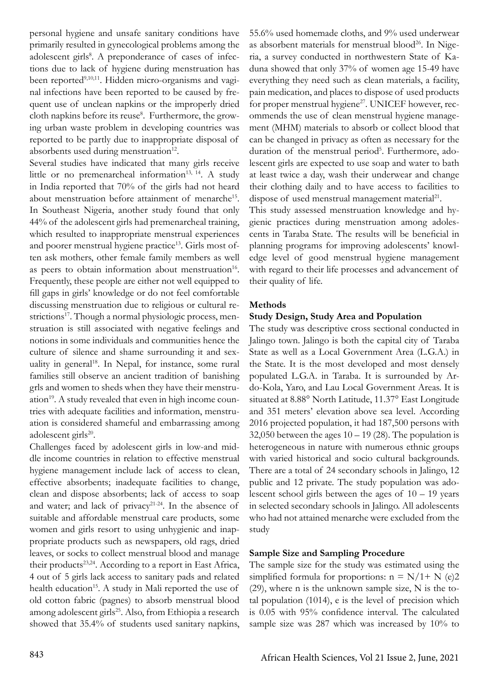personal hygiene and unsafe sanitary conditions have primarily resulted in gynecological problems among the adolescent girls<sup>8</sup>. A preponderance of cases of infections due to lack of hygiene during menstruation has been reported<sup>9,10,11</sup>. Hidden micro-organisms and vaginal infections have been reported to be caused by frequent use of unclean napkins or the improperly dried cloth napkins before its reuse<sup>8</sup>. Furthermore, the growing urban waste problem in developing countries was reported to be partly due to inappropriate disposal of absorbents used during menstruation<sup>12</sup>.

Several studies have indicated that many girls receive little or no premenarcheal information<sup>13, 14</sup>. A study in India reported that 70% of the girls had not heard about menstruation before attainment of menarche<sup>15</sup>. In Southeast Nigeria, another study found that only 44% of the adolescent girls had premenarcheal training, which resulted to inappropriate menstrual experiences and poorer menstrual hygiene practice<sup>13</sup>. Girls most often ask mothers, other female family members as well as peers to obtain information about menstruation<sup>16</sup>. Frequently, these people are either not well equipped to fill gaps in girls' knowledge or do not feel comfortable discussing menstruation due to religious or cultural restrictions<sup>17</sup>. Though a normal physiologic process, menstruation is still associated with negative feelings and notions in some individuals and communities hence the culture of silence and shame surrounding it and sexuality in general<sup>18</sup>. In Nepal, for instance, some rural families still observe an ancient tradition of banishing grls and women to sheds when they have their menstruation<sup>19</sup>. A study revealed that even in high income countries with adequate facilities and information, menstruation is considered shameful and embarrassing among adolescent girls<sup>20</sup>.

Challenges faced by adolescent girls in low-and middle income countries in relation to effective menstrual hygiene management include lack of access to clean, effective absorbents; inadequate facilities to change, clean and dispose absorbents; lack of access to soap and water; and lack of privacy<sup>21-24</sup>. In the absence of suitable and affordable menstrual care products, some women and girls resort to using unhygienic and inappropriate products such as newspapers, old rags, dried leaves, or socks to collect menstrual blood and manage their products<sup>23,24</sup>. According to a report in East Africa, 4 out of 5 girls lack access to sanitary pads and related health education<sup>15</sup>. A study in Mali reported the use of old cotton fabric (pagnes) to absorb menstrual blood among adolescent girls<sup>25</sup>. Also, from Ethiopia a research showed that 35.4% of students used sanitary napkins, 55.6% used homemade cloths, and 9% used underwear as absorbent materials for menstrual blood<sup>26</sup>. In Nigeria, a survey conducted in northwestern State of Kaduna showed that only 37% of women age 15-49 have everything they need such as clean materials, a facility, pain medication, and places to dispose of used products for proper menstrual hygiene<sup>27</sup>. UNICEF however, recommends the use of clean menstrual hygiene management (MHM) materials to absorb or collect blood that can be changed in privacy as often as necessary for the duration of the menstrual period<sup>5</sup>. Furthermore, adolescent girls are expected to use soap and water to bath at least twice a day, wash their underwear and change their clothing daily and to have access to facilities to dispose of used menstrual management material<sup>21</sup>.

This study assessed menstruation knowledge and hygienic practices during menstruation among adolescents in Taraba State. The results will be beneficial in planning programs for improving adolescents' knowledge level of good menstrual hygiene management with regard to their life processes and advancement of their quality of life.

## **Methods**

## **Study Design, Study Area and Population**

The study was descriptive cross sectional conducted in Jalingo town. Jalingo is both the capital city of Taraba State as well as a Local Government Area (L.G.A.) in the State. It is the most developed and most densely populated L.G.A. in Taraba. It is surrounded by Ardo-Kola, Yaro, and Lau Local Government Areas. It is situated at 8.88° North Latitude, 11.37° East Longitude and 351 meters' elevation above sea level. According 2016 projected population, it had 187,500 persons with 32,050 between the ages  $10 - 19$  (28). The population is heterogeneous in nature with numerous ethnic groups with varied historical and socio cultural backgrounds. There are a total of 24 secondary schools in Jalingo, 12 public and 12 private. The study population was adolescent school girls between the ages of  $10 - 19$  years in selected secondary schools in Jalingo. All adolescents who had not attained menarche were excluded from the study

## **Sample Size and Sampling Procedure**

The sample size for the study was estimated using the simplified formula for proportions:  $n = N/1 + N$  (e)2 (29), where n is the unknown sample size, N is the total population (1014), e is the level of precision which is 0.05 with 95% confidence interval. The calculated sample size was 287 which was increased by 10% to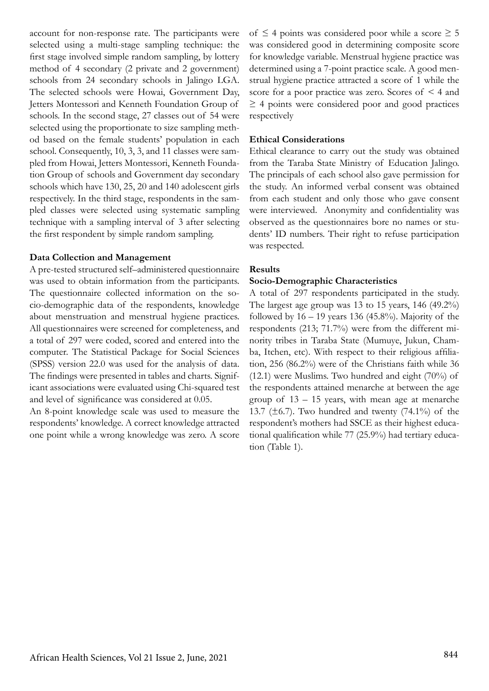account for non-response rate. The participants were selected using a multi-stage sampling technique: the first stage involved simple random sampling, by lottery method of 4 secondary (2 private and 2 government) schools from 24 secondary schools in Jalingo LGA. The selected schools were Howai, Government Day, Jetters Montessori and Kenneth Foundation Group of schools. In the second stage, 27 classes out of 54 were selected using the proportionate to size sampling method based on the female students' population in each school. Consequently, 10, 3, 3, and 11 classes were sampled from Howai, Jetters Montessori, Kenneth Foundation Group of schools and Government day secondary schools which have 130, 25, 20 and 140 adolescent girls respectively. In the third stage, respondents in the sampled classes were selected using systematic sampling technique with a sampling interval of 3 after selecting the first respondent by simple random sampling.

#### **Data Collection and Management**

A pre-tested structured self–administered questionnaire was used to obtain information from the participants. The questionnaire collected information on the socio-demographic data of the respondents, knowledge about menstruation and menstrual hygiene practices. All questionnaires were screened for completeness, and a total of 297 were coded, scored and entered into the computer. The Statistical Package for Social Sciences (SPSS) version 22.0 was used for the analysis of data. The findings were presented in tables and charts. Significant associations were evaluated using Chi-squared test and level of significance was considered at 0.05.

An 8-point knowledge scale was used to measure the respondents' knowledge. A correct knowledge attracted one point while a wrong knowledge was zero. A score of  $\leq$  4 points was considered poor while a score  $\geq$  5 was considered good in determining composite score for knowledge variable. Menstrual hygiene practice was determined using a 7-point practice scale. A good menstrual hygiene practice attracted a score of 1 while the score for a poor practice was zero. Scores of < 4 and  $\geq$  4 points were considered poor and good practices respectively

#### **Ethical Considerations**

Ethical clearance to carry out the study was obtained from the Taraba State Ministry of Education Jalingo. The principals of each school also gave permission for the study. An informed verbal consent was obtained from each student and only those who gave consent were interviewed. Anonymity and confidentiality was observed as the questionnaires bore no names or students' ID numbers. Their right to refuse participation was respected.

#### **Results**

#### **Socio-Demographic Characteristics**

A total of 297 respondents participated in the study. The largest age group was 13 to 15 years,  $146 \ (49.2\%)$ followed by  $16 - 19$  years 136 (45.8%). Majority of the respondents (213; 71.7%) were from the different minority tribes in Taraba State (Mumuye, Jukun, Chamba, Itchen, etc). With respect to their religious affiliation, 256 (86.2%) were of the Christians faith while 36 (12.1) were Muslims. Two hundred and eight (70%) of the respondents attained menarche at between the age group of 13 – 15 years, with mean age at menarche 13.7 ( $\pm$ 6.7). Two hundred and twenty (74.1%) of the respondent's mothers had SSCE as their highest educational qualification while 77 (25.9%) had tertiary education (Table 1).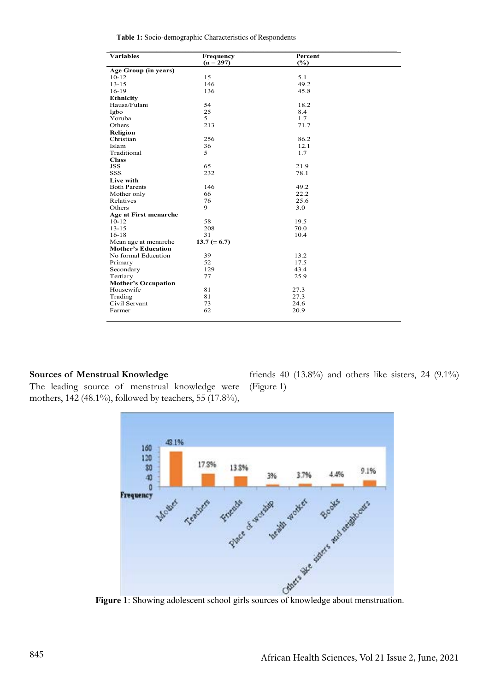**Table 1:** Socio-demographic Characteristics of Respondents

| <b>Variables</b>                                  | Frequency        | Percent |  |
|---------------------------------------------------|------------------|---------|--|
|                                                   | $(n = 297)$      | (%)     |  |
| Age Group (in years)                              |                  |         |  |
| $10-12$                                           | 15               | 5.1     |  |
| $13 - 15$                                         | 146              | 49.2    |  |
| $16-19$                                           | 136              | 45.8    |  |
| <b>Ethnicity</b>                                  |                  |         |  |
| Hausa/Fulani                                      | 54               | 18.2    |  |
| Igbo                                              | 25               | 8.4     |  |
| Yoruba                                            | 5                | 1.7     |  |
| Others                                            | 213              | 71.7    |  |
| Religion                                          |                  |         |  |
| Christian                                         | 256              | 86.2    |  |
| Islam                                             | 36               | 12.1    |  |
| Traditional                                       | 5                | 1.7     |  |
| <b>Class</b>                                      |                  |         |  |
| <b>JSS</b>                                        | 65               | 21.9    |  |
| <b>SSS</b>                                        | 232              | 78.1    |  |
| Live with                                         |                  |         |  |
| <b>Both Parents</b>                               | 146              | 49.2    |  |
| Mother only                                       | 66               | 22.2    |  |
| Relatives                                         | 76               | 25.6    |  |
| Others                                            | 9                | 3.0     |  |
|                                                   |                  |         |  |
| <b>Age at First menarche</b><br>$10 - 12$         | 58               | 19.5    |  |
| $13 - 15$                                         | 208              | 70.0    |  |
| $16 - 18$                                         | 31               | 10.4    |  |
|                                                   |                  |         |  |
| Mean age at menarche<br><b>Mother's Education</b> | 13.7 $(\pm 6.7)$ |         |  |
| No formal Education                               | 39               | 13.2    |  |
|                                                   | 52               | 17.5    |  |
| Primary                                           | 129              | 43.4    |  |
| Secondary                                         |                  |         |  |
| Tertiary                                          | 77               | 25.9    |  |
| <b>Mother's Occupation</b><br>Housewife           | 81               | 27.3    |  |
|                                                   | 81               | 27.3    |  |
| Trading<br>Civil Servant                          | 73               | 24.6    |  |
|                                                   | 62               |         |  |
| Farmer                                            |                  | 20.9    |  |
|                                                   |                  |         |  |

#### **Sources of Menstrual Knowledge**

The leading source of menstrual knowledge were mothers, 142 (48.1%), followed by teachers, 55 (17.8%),

friends 40  $(13.8\%)$  and others like sisters, 24  $(9.1\%)$ (Figure 1)

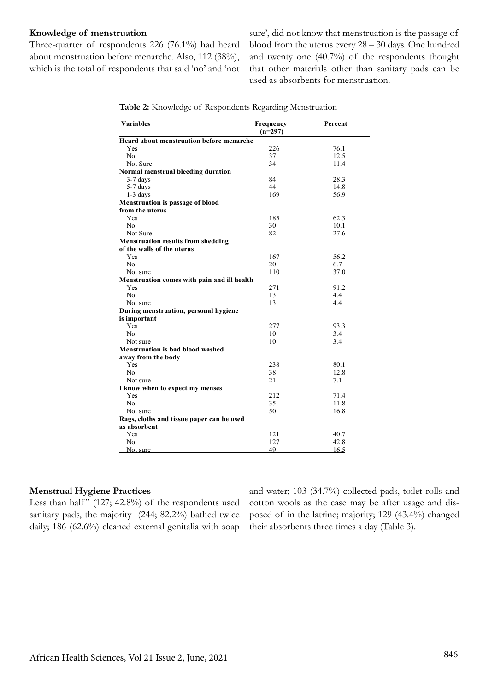#### **Knowledge of menstruation**

Three-quarter of respondents 226 (76.1%) had heard about menstruation before menarche. Also, 112 (38%), which is the total of respondents that said 'no' and 'not

sure', did not know that menstruation is the passage of blood from the uterus every 28 – 30 days. One hundred and twenty one (40.7%) of the respondents thought that other materials other than sanitary pads can be used as absorbents for menstruation.

| <b>Variables</b>                                | <b>Frequency</b><br>$(n=297)$ | Percent |
|-------------------------------------------------|-------------------------------|---------|
| <b>Heard about menstruation before menarche</b> |                               |         |
| Yes                                             | 226                           | 76.1    |
| N <sub>0</sub>                                  | 37                            | 12.5    |
| Not Sure                                        | 34                            | 11.4    |
| Normal menstrual bleeding duration              |                               |         |
| $3-7$ days                                      | 84                            | 28.3    |
| 5-7 days                                        | 44                            | 14.8    |
| $1-3$ days                                      | 169                           | 56.9    |
| <b>Menstruation is passage of blood</b>         |                               |         |
| from the uterus                                 |                               |         |
| Yes                                             | 185                           | 62.3    |
| No                                              | 30                            | 10.1    |
| Not Sure                                        | 82                            | 27.6    |
| <b>Menstruation results from shedding</b>       |                               |         |
| of the walls of the uterus                      |                               |         |
| Yes                                             | 167                           | 56.2    |
| No                                              | 20                            | 6.7     |
| Not sure                                        | 110                           | 37.0    |
| Menstruation comes with pain and ill health     |                               |         |
| Yes                                             | 271                           | 91.2    |
| No                                              | 13                            | 4.4     |
| Not sure                                        | 13                            | 4.4     |
| During menstruation, personal hygiene           |                               |         |
| is important                                    |                               |         |
| Yes                                             | 277                           | 93.3    |
| No                                              | 10                            | 3.4     |
| Not sure                                        | 10                            | 3.4     |
| <b>Menstruation is bad blood washed</b>         |                               |         |
| away from the body                              |                               |         |
| Yes                                             | 238                           | 80.1    |
| N <sub>0</sub>                                  | 38                            | 12.8    |
| Not sure                                        | 21                            | 7.1     |
| I know when to expect my menses                 |                               |         |
| Yes                                             | 212                           | 71.4    |
| N <sub>0</sub>                                  | 35                            | 11.8    |
| Not sure                                        | 50                            | 16.8    |
| Rags, cloths and tissue paper can be used       |                               |         |
| as absorbent                                    |                               |         |
| Yes                                             | 121                           | 40.7    |
| No                                              | 127                           | 42.8    |
| Not sure                                        | 49                            | 16.5    |

**Table 2:** Knowledge of Respondents Regarding Menstruation

#### **Menstrual Hygiene Practices**

Less than half"  $(127; 42.8\%)$  of the respondents used sanitary pads, the majority (244; 82.2%) bathed twice daily; 186 (62.6%) cleaned external genitalia with soap

and water; 103 (34.7%) collected pads, toilet rolls and cotton wools as the case may be after usage and disposed of in the latrine; majority; 129 (43.4%) changed their absorbents three times a day (Table 3).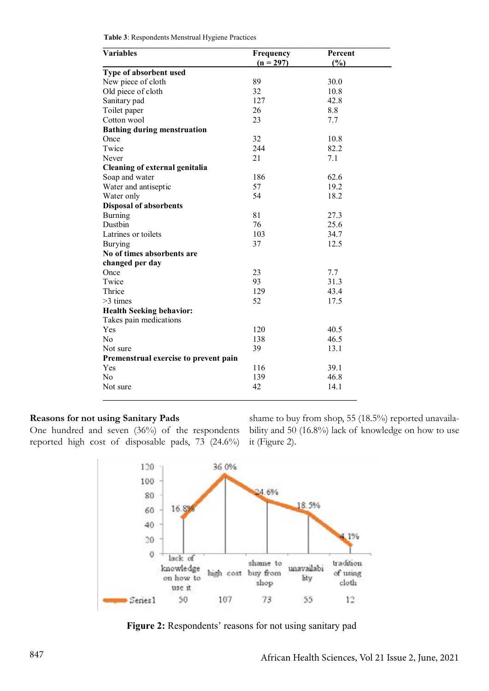| Variables                             | Frequency   | Percent |
|---------------------------------------|-------------|---------|
|                                       | $(n = 297)$ | (%)     |
| Type of absorbent used                |             |         |
| New piece of cloth                    | 89          | 30.0    |
| Old piece of cloth                    | 32          | 10.8    |
| Sanitary pad                          | 127         | 42.8    |
| Toilet paper                          | 26          | 8.8     |
| Cotton wool                           | 23          | 7.7     |
| <b>Bathing during menstruation</b>    |             |         |
| Once                                  | 32          | 10.8    |
| Twice                                 | 244         | 82.2    |
| Never                                 | 21          | 7.1     |
| Cleaning of external genitalia        |             |         |
| Soap and water                        | 186         | 62.6    |
| Water and antiseptic                  | 57          | 19.2    |
| Water only                            | 54          | 18.2    |
| <b>Disposal of absorbents</b>         |             |         |
| <b>Burning</b>                        | 81          | 27.3    |
| Dustbin                               | 76          | 25.6    |
| Latrines or toilets                   | 103         | 34.7    |
| <b>Burying</b>                        | 37          | 12.5    |
| No of times absorbents are            |             |         |
| changed per day                       |             |         |
| Once                                  | 23          | 7.7     |
| Twice                                 | 93          | 31.3    |
| Thrice                                | 129         | 43.4    |
| $>3$ times                            | 52          | 17.5    |
| <b>Health Seeking behavior:</b>       |             |         |
| Takes pain medications                |             |         |
| Yes                                   | 120         | 40.5    |
| N <sub>0</sub>                        | 138         | 46.5    |
| Not sure                              | 39          | 13.1    |
| Premenstrual exercise to prevent pain |             |         |
| Yes                                   | 116         | 39.1    |
| N <sub>0</sub>                        | 139         | 46.8    |
| Not sure                              | 42          | 14.1    |

**Table 3**: Respondents Menstrual Hygiene Practices

#### **Reasons for not using Sanitary Pads**

One hundred and seven (36%) of the respondents reported high cost of disposable pads, 73 (24.6%)

shame to buy from shop, 55 (18.5%) reported unavailability and 50 (16.8%) lack of knowledge on how to use it (Figure 2).



**\_\_\_\_\_\_\_\_\_\_\_\_\_\_\_\_\_\_\_\_\_\_\_\_\_\_\_\_\_\_\_\_\_\_\_\_\_\_\_\_\_\_\_\_\_\_\_\_\_\_\_\_\_\_\_\_\_\_\_\_\_**

 **Figure 2:** Respondents' reasons for not using sanitary pad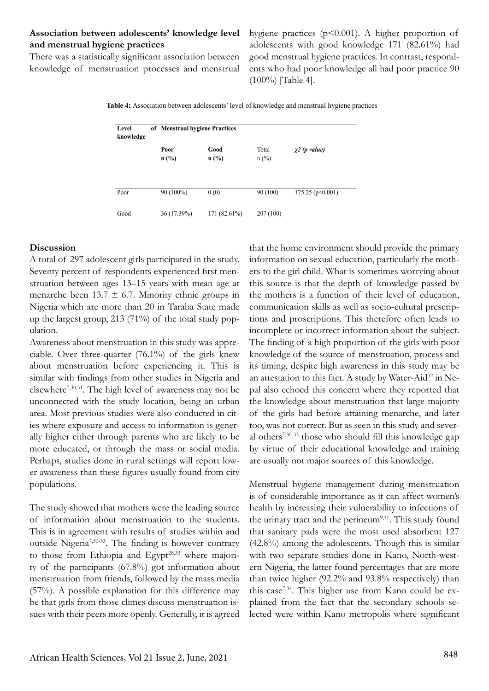# **Association between adolescents' knowledge level and menstrual hygiene practices**

There was a statistically significant association between knowledge of menstruation processes and menstrual hygiene practices  $(p<0.001)$ . A higher proportion of adolescents with good knowledge 171 (82.61%) had good menstrual hygiene practices. In contrast, respondents who had poor knowledge all had poor practice 90 (100%) [Table 4].

**Table 4:** Association between adolescents' level of knowledge and menstrual hygiene practices

| Level<br>knowledge | of Menstrual hygiene Practices |                 |                  |                    |
|--------------------|--------------------------------|-----------------|------------------|--------------------|
|                    | Poor<br>$n$ (%)                | Good<br>$n$ (%) | Total<br>$n$ (%) | $\chi^2$ (p value) |
| Poor               | 90 (100%)                      | 0(0)            | 90 (100)         | 175.25(p<0.001)    |
| Good               | 36 (17.39%)                    | 171 (82.61%)    | 207(100)         |                    |

#### **Discussion**

A total of 297 adolescent girls participated in the study. Seventy percent of respondents experienced first menstruation between ages 13–15 years with mean age at menarche been  $13.7 \pm 6.7$ . Minority ethnic groups in Nigeria which are more than 20 in Taraba State made up the largest group, 213 (71%) of the total study population.

Awareness about menstruation in this study was appreciable. Over three-quarter (76.1%) of the girls knew about menstruation before experiencing it. This is similar with findings from other studies in Nigeria and elsewhere7,30,31. The high level of awareness may not be unconnected with the study location, being an urban area. Most previous studies were also conducted in cities where exposure and access to information is generally higher either through parents who are likely to be more educated, or through the mass or social media. Perhaps, studies done in rural settings will report lower awareness than these figures usually found from city populations.

The study showed that mothers were the leading source of information about menstruation to the students. This is in agreement with results of studies within and outside Nigeria7,30-33. The finding is however contrary to those from Ethiopia and Egypt<sup>28,33</sup> where majority of the participants (67.8%) got information about menstruation from friends, followed by the mass media (57%). A possible explanation for this difference may be that girls from those climes discuss menstruation issues with their peers more openly. Generally, it is agreed

that the home environment should provide the primary information on sexual education, particularly the mothers to the girl child. What is sometimes worrying about this source is that the depth of knowledge passed by the mothers is a function of their level of education, communication skills as well as socio-cultural prescriptions and proscriptions. This therefore often leads to incomplete or incorrect information about the subject. The finding of a high proportion of the girls with poor knowledge of the source of menstruation, process and its timing, despite high awareness in this study may be an attestation to this fact. A study by Water-Aid<sup>32</sup> in Nepal also echoed this concern where they reported that the knowledge about menstruation that large majority of the girls had before attaining menarche, and later too, was not correct. But as seen in this study and several others7,30-33 those who should fill this knowledge gap by virtue of their educational knowledge and training are usually not major sources of this knowledge.

Menstrual hygiene management during menstruation is of considerable importance as it can affect women's health by increasing their vulnerability to infections of the urinary tract and the perineum<sup>9,11</sup>. This study found that sanitary pads were the most used absorbent 127 (42.8%) among the adolescents. Though this is similar with two separate studies done in Kano, North-western Nigeria, the latter found percentages that are more than twice higher (92.2% and 93.8% respectively) than this case7,34. This higher use from Kano could be explained from the fact that the secondary schools selected were within Kano metropolis where significant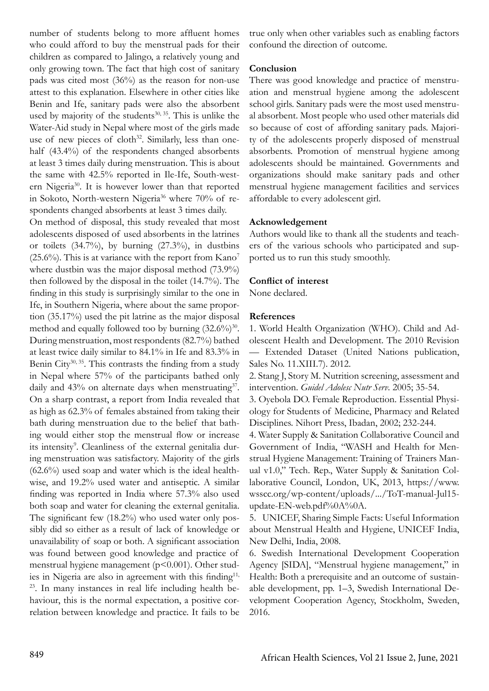number of students belong to more affluent homes who could afford to buy the menstrual pads for their children as compared to Jalingo, a relatively young and only growing town. The fact that high cost of sanitary pads was cited most (36%) as the reason for non-use attest to this explanation. Elsewhere in other cities like Benin and Ife, sanitary pads were also the absorbent used by majority of the students $30, 35$ . This is unlike the Water-Aid study in Nepal where most of the girls made use of new pieces of cloth $32$ . Similarly, less than onehalf (43.4%) of the respondents changed absorbents at least 3 times daily during menstruation. This is about the same with 42.5% reported in Ile-Ife, South-western Nigeria<sup>30</sup>. It is however lower than that reported in Sokoto, North-western Nigeria<sup>36</sup> where 70% of respondents changed absorbents at least 3 times daily.

On method of disposal, this study revealed that most adolescents disposed of used absorbents in the latrines or toilets  $(34.7\%)$ , by burning  $(27.3\%)$ , in dustbins  $(25.6\%)$ . This is at variance with the report from Kano<sup>7</sup> where dustbin was the major disposal method (73.9%) then followed by the disposal in the toilet (14.7%). The finding in this study is surprisingly similar to the one in Ife, in Southern Nigeria, where about the same proportion (35.17%) used the pit latrine as the major disposal method and equally followed too by burning  $(32.6\%)^{30}$ . During menstruation, most respondents (82.7%) bathed at least twice daily similar to 84.1% in Ife and 83.3% in Benin City<sup>30, 35</sup>. This contrasts the finding from a study in Nepal where 57% of the participants bathed only daily and  $43\%$  on alternate days when menstruating<sup>37</sup>. On a sharp contrast, a report from India revealed that as high as 62.3% of females abstained from taking their bath during menstruation due to the belief that bathing would either stop the menstrual flow or increase its intensity<sup>9</sup>. Cleanliness of the external genitalia during menstruation was satisfactory. Majority of the girls (62.6%) used soap and water which is the ideal healthwise, and 19.2% used water and antiseptic. A similar finding was reported in India where 57.3% also used both soap and water for cleaning the external genitalia. The significant few (18.2%) who used water only possibly did so either as a result of lack of knowledge or unavailability of soap or both. A significant association was found between good knowledge and practice of menstrual hygiene management ( $p$ <0.001). Other studies in Nigeria are also in agreement with this finding<sup>11,</sup> 23. In many instances in real life including health behaviour, this is the normal expectation, a positive correlation between knowledge and practice. It fails to be

true only when other variables such as enabling factors confound the direction of outcome.

#### **Conclusion**

There was good knowledge and practice of menstruation and menstrual hygiene among the adolescent school girls. Sanitary pads were the most used menstrual absorbent. Most people who used other materials did so because of cost of affording sanitary pads. Majority of the adolescents properly disposed of menstrual absorbents. Promotion of menstrual hygiene among adolescents should be maintained. Governments and organizations should make sanitary pads and other menstrual hygiene management facilities and services affordable to every adolescent girl.

## **Acknowledgement**

Authors would like to thank all the students and teachers of the various schools who participated and supported us to run this study smoothly.

#### **Conflict of interest**

None declared.

#### **References**

1. World Health Organization (WHO). Child and Adolescent Health and Development. The 2010 Revision — Extended Dataset (United Nations publication, Sales No. 11.XIII.7). 2012.

2. Stang J, Story M. Nutrition screening, assessment and intervention. *Guidel Adolesc Nutr Serv*. 2005; 35-54.

3. Oyebola DO. Female Reproduction. Essential Physiology for Students of Medicine, Pharmacy and Related Disciplines. Nihort Press, Ibadan, 2002; 232-244.

4. Water Supply & Sanitation Collaborative Council and Government of India, "WASH and Health for Menstrual Hygiene Management: Training of Trainers Manual v1.0," Tech. Rep., Water Supply & Sanitation Collaborative Council, London, UK, 2013, https://www. wsscc.org/wp-content/uploads/.../ToT-manual-Jul15 update-EN-web.pdf%0A%0A.

5. UNICEF, Sharing Simple Facts: Useful Information about Menstrual Health and Hygiene, UNICEF India, New Delhi, India, 2008.

6. Swedish International Development Cooperation Agency [SIDA], "Menstrual hygiene management," in Health: Both a prerequisite and an outcome of sustainable development, pp. 1–3, Swedish International Development Cooperation Agency, Stockholm, Sweden, 2016.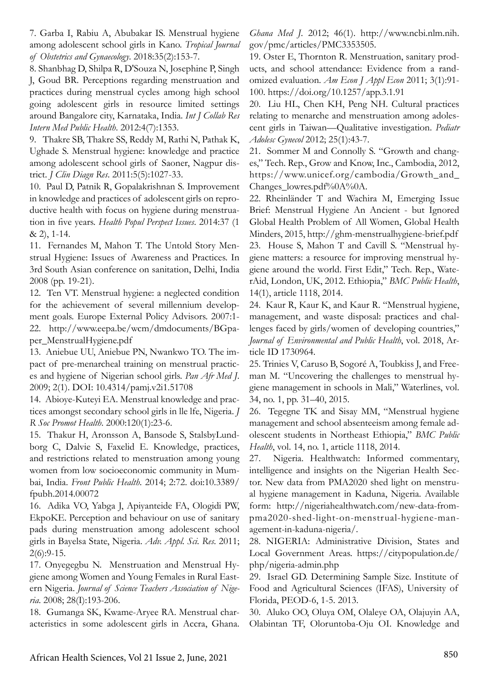7. Garba I, Rabiu A, Abubakar IS. Menstrual hygiene among adolescent school girls in Kano. *Tropical Journal of Obstetrics and Gynaecology*. 2018:35(2):153-7.

8. Shanbhag D, Shilpa R, D'Souza N, Josephine P, Singh J, Goud BR. Perceptions regarding menstruation and practices during menstrual cycles among high school going adolescent girls in resource limited settings around Bangalore city, Karnataka, India. *Int J Collab Res Intern Med Public Health*. 2012:4(7):1353.

9. Thakre SB, Thakre SS, Reddy M, Rathi N, Pathak K, Ughade S. Menstrual hygiene: knowledge and practice among adolescent school girls of Saoner, Nagpur district. *J Clin Diagn Res*. 2011:5(5):1027-33.

10. Paul D, Patnik R, Gopalakrishnan S. Improvement in knowledge and practices of adolescent girls on reproductive health with focus on hygiene during menstruation in five years. *Health Popul Perspect Issues*. 2014:37 (1 & 2), 1-14.

11. Fernandes M, Mahon T. The Untold Story Menstrual Hygiene: Issues of Awareness and Practices. In 3rd South Asian conference on sanitation, Delhi, India 2008 (pp. 19-21).

12. Ten VT. Menstrual hygiene: a neglected condition for the achievement of several millennium development goals. Europe External Policy Advisors. 2007:1- 22. http://www.eepa.be/wcm/dmdocuments/BGpaper\_MenstrualHygiene.pdf

13. Aniebue UU, Aniebue PN, Nwankwo TO. The impact of pre-menarcheal training on menstrual practices and hygiene of Nigerian school girls. *Pan Afr Med J*. 2009; 2(1). DOI: 10.4314/pamj.v2i1.51708

14. Abioye-Kuteyi EA. Menstrual knowledge and practices amongst secondary school girls in lle lfe, Nigeria. *J R Soc Promot Health*. 2000:120(1):23-6.

15. Thakur H, Aronsson A, Bansode S, StalsbyLundborg C, Dalvie S, Faxelid E. Knowledge, practices, and restrictions related to menstruation among young women from low socioeconomic community in Mumbai, India. *Front Public Health*. 2014; 2:72. doi:10.3389/ fpubh.2014.00072

16. Adika VO, Yabga J, Apiyanteide FA, Ologidi PW, EkpoKE. Perception and behaviour on use of sanitary pads during menstruation among adolescent school girls in Bayelsa State, Nigeria. *Adv. Appl. Sci. Res*. 2011; 2(6):9-15.

17. Onyegegbu N. Menstruation and Menstrual Hygiene among Women and Young Females in Rural Eastern Nigeria. *Journal of Science Teachers Association of Nigeria*. 2008; 28(I):193-206.

18. Gumanga SK, Kwame-Aryee RA. Menstrual characteristics in some adolescent girls in Accra, Ghana. *Ghana Med J*. 2012; 46(1). http://www.ncbi.nlm.nih. gov/pmc/articles/PMC3353505.

19. Oster E, Thornton R. Menstruation, sanitary products, and school attendance: Evidence from a randomized evaluation. *Am Econ J Appl Econ* 2011; 3(1):91- 100. https://doi.org/10.1257/app.3.1.91

20. Liu HL, Chen KH, Peng NH. Cultural practices relating to menarche and menstruation among adolescent girls in Taiwan—Qualitative investigation. *Pediatr Adolesc Gynecol* 2012; 25(1):43-7.

21. Sommer M and Connolly S. "Growth and changes," Tech. Rep., Grow and Know, Inc., Cambodia, 2012, https://www.unicef.org/cambodia/Growth\_and\_ Changes\_lowres.pdf%0A%0A.

22. Rheinländer T and Wachira M, Emerging Issue Brief: Menstrual Hygiene An Ancient - but Ignored Global Health Problem of All Women, Global Health Minders, 2015, http://ghm-menstrualhygiene-brief.pdf 23. House S, Mahon T and Cavill S. "Menstrual hygiene matters: a resource for improving menstrual hygiene around the world. First Edit," Tech. Rep., WaterAid, London, UK, 2012. Ethiopia," *BMC Public Health*, 14(1), article 1118, 2014.

24. Kaur R, Kaur K, and Kaur R. "Menstrual hygiene, management, and waste disposal: practices and challenges faced by girls/women of developing countries," *Journal of Environmental and Public Health*, vol. 2018, Article ID 1730964.

25. Trinies V, Caruso B, Sogoré A, Toubkiss J, and Freeman M. "Uncovering the challenges to menstrual hygiene management in schools in Mali," Waterlines, vol. 34, no. 1, pp. 31–40, 2015.

26. Tegegne TK and Sisay MM, "Menstrual hygiene management and school absenteeism among female adolescent students in Northeast Ethiopia," *BMC Public Health*, vol. 14, no. 1, article 1118, 2014.

27. Nigeria. Healthwatch: Informed commentary, intelligence and insights on the Nigerian Health Sector. New data from PMA2020 shed light on menstrual hygiene management in Kaduna, Nigeria. Available form: http://nigeriahealthwatch.com/new-data-frompma2020-shed-light-on-menstrual-hygiene-management-in-kaduna-nigeria/.

28. NIGERIA: Administrative Division, States and Local Government Areas. https://citypopulation.de/ php/nigeria-admin.php

29. Israel GD. Determining Sample Size. Institute of Food and Agricultural Sciences (IFAS), University of Florida, PEOD-6, 1-5. 2013.

30. Aluko OO, Oluya OM, Olaleye OA, Olajuyin AA, Olabintan TF, Oloruntoba-Oju OI. Knowledge and